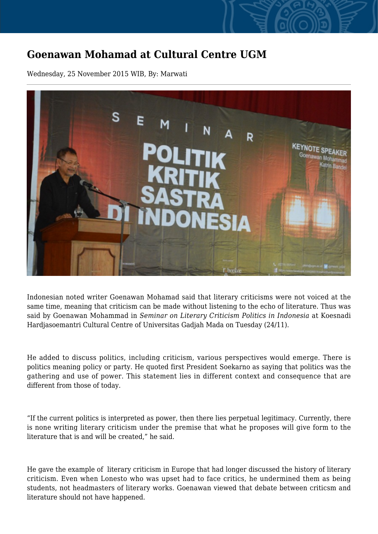## **Goenawan Mohamad at Cultural Centre UGM**

Wednesday, 25 November 2015 WIB, By: Marwati



Indonesian noted writer Goenawan Mohamad said that literary criticisms were not voiced at the same time, meaning that criticism can be made without listening to the echo of literature. Thus was said by Goenawan Mohammad in *Seminar on Literary Criticism Politics in Indonesia* at Koesnadi Hardjasoemantri Cultural Centre of Universitas Gadjah Mada on Tuesday (24/11).

He added to discuss politics, including criticism, various perspectives would emerge. There is politics meaning policy or party. He quoted first President Soekarno as saying that politics was the gathering and use of power. This statement lies in different context and consequence that are different from those of today.

"If the current politics is interpreted as power, then there lies perpetual legitimacy. Currently, there is none writing literary criticism under the premise that what he proposes will give form to the literature that is and will be created," he said.

He gave the example of literary criticism in Europe that had longer discussed the history of literary criticism. Even when Lonesto who was upset had to face critics, he undermined them as being students, not headmasters of literary works. Goenawan viewed that debate between criticsm and literature should not have happened.